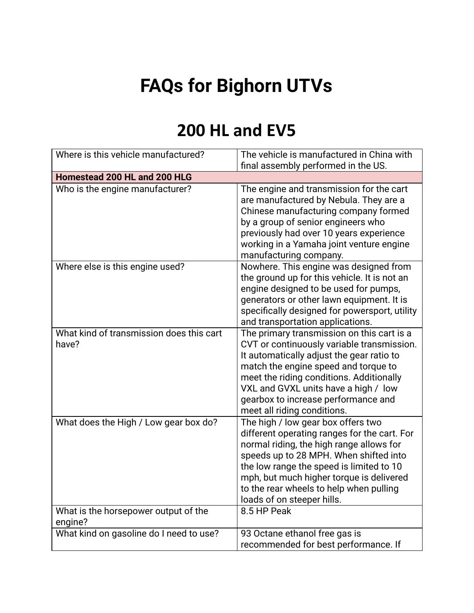## **FAQs for Bighorn UTVs**

## **200 HL and EV5**

| Where is this vehicle manufactured?               | The vehicle is manufactured in China with<br>final assembly performed in the US.                                                                                                                                                                                                                                                          |  |
|---------------------------------------------------|-------------------------------------------------------------------------------------------------------------------------------------------------------------------------------------------------------------------------------------------------------------------------------------------------------------------------------------------|--|
| Homestead 200 HL and 200 HLG                      |                                                                                                                                                                                                                                                                                                                                           |  |
| Who is the engine manufacturer?                   | The engine and transmission for the cart<br>are manufactured by Nebula. They are a<br>Chinese manufacturing company formed<br>by a group of senior engineers who<br>previously had over 10 years experience<br>working in a Yamaha joint venture engine<br>manufacturing company.                                                         |  |
| Where else is this engine used?                   | Nowhere. This engine was designed from<br>the ground up for this vehicle. It is not an<br>engine designed to be used for pumps,<br>generators or other lawn equipment. It is<br>specifically designed for powersport, utility<br>and transportation applications.                                                                         |  |
| What kind of transmission does this cart<br>have? | The primary transmission on this cart is a<br>CVT or continuously variable transmission.<br>It automatically adjust the gear ratio to<br>match the engine speed and torque to<br>meet the riding conditions. Additionally<br>VXL and GVXL units have a high / low<br>gearbox to increase performance and<br>meet all riding conditions.   |  |
| What does the High / Low gear box do?             | The high / low gear box offers two<br>different operating ranges for the cart. For<br>normal riding, the high range allows for<br>speeds up to 28 MPH. When shifted into<br>the low range the speed is limited to 10<br>mph, but much higher torque is delivered<br>to the rear wheels to help when pulling<br>loads of on steeper hills. |  |
| What is the horsepower output of the<br>engine?   | 8.5 HP Peak                                                                                                                                                                                                                                                                                                                               |  |
| What kind on gasoline do I need to use?           | 93 Octane ethanol free gas is<br>recommended for best performance. If                                                                                                                                                                                                                                                                     |  |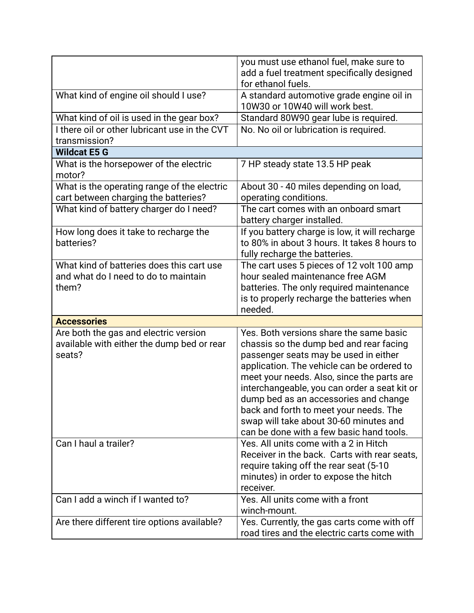|                                                  | you must use ethanol fuel, make sure to                                                    |
|--------------------------------------------------|--------------------------------------------------------------------------------------------|
|                                                  | add a fuel treatment specifically designed<br>for ethanol fuels.                           |
| What kind of engine oil should I use?            | A standard automotive grade engine oil in                                                  |
|                                                  | 10W30 or 10W40 will work best.                                                             |
| What kind of oil is used in the gear box?        | Standard 80W90 gear lube is required.                                                      |
| I there oil or other lubricant use in the CVT    | No. No oil or lubrication is required.                                                     |
| transmission?                                    |                                                                                            |
| <b>Wildcat E5 G</b>                              |                                                                                            |
| What is the horsepower of the electric<br>motor? | 7 HP steady state 13.5 HP peak                                                             |
| What is the operating range of the electric      | About 30 - 40 miles depending on load,                                                     |
| cart between charging the batteries?             | operating conditions.                                                                      |
| What kind of battery charger do I need?          | The cart comes with an onboard smart                                                       |
|                                                  | battery charger installed.                                                                 |
| How long does it take to recharge the            | If you battery charge is low, it will recharge                                             |
| batteries?                                       | to 80% in about 3 hours. It takes 8 hours to                                               |
|                                                  | fully recharge the batteries.                                                              |
| What kind of batteries does this cart use        | The cart uses 5 pieces of 12 volt 100 amp                                                  |
| and what do I need to do to maintain             | hour sealed maintenance free AGM                                                           |
| them?                                            | batteries. The only required maintenance                                                   |
|                                                  | is to properly recharge the batteries when                                                 |
|                                                  | needed.                                                                                    |
| <b>Accessories</b>                               |                                                                                            |
| Are both the gas and electric version            | Yes. Both versions share the same basic                                                    |
| available with either the dump bed or rear       | chassis so the dump bed and rear facing                                                    |
| seats?                                           | passenger seats may be used in either                                                      |
|                                                  | application. The vehicle can be ordered to                                                 |
|                                                  |                                                                                            |
|                                                  | meet your needs. Also, since the parts are                                                 |
|                                                  | interchangeable, you can order a seat kit or                                               |
|                                                  | dump bed as an accessories and change                                                      |
|                                                  | back and forth to meet your needs. The                                                     |
|                                                  | swap will take about 30-60 minutes and                                                     |
|                                                  | can be done with a few basic hand tools.                                                   |
| Can I haul a trailer?                            | Yes. All units come with a 2 in Hitch                                                      |
|                                                  | Receiver in the back. Carts with rear seats,                                               |
|                                                  | require taking off the rear seat (5-10)                                                    |
|                                                  | minutes) in order to expose the hitch                                                      |
|                                                  | receiver.                                                                                  |
| Can I add a winch if I wanted to?                | Yes. All units come with a front                                                           |
|                                                  | winch-mount.                                                                               |
| Are there different tire options available?      | Yes. Currently, the gas carts come with off<br>road tires and the electric carts come with |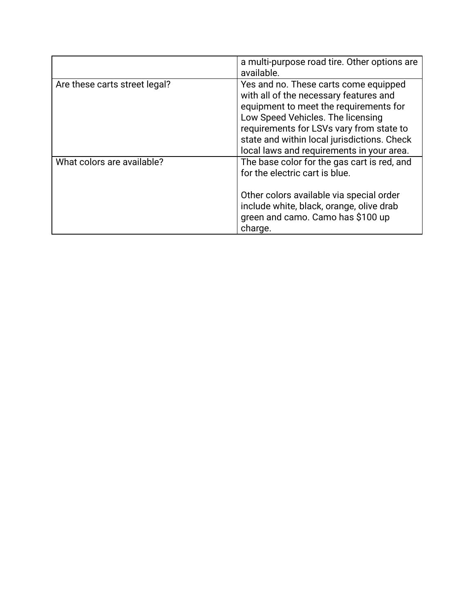|                               | a multi-purpose road tire. Other options are<br>available.                                                                                                                                                                                                                                             |
|-------------------------------|--------------------------------------------------------------------------------------------------------------------------------------------------------------------------------------------------------------------------------------------------------------------------------------------------------|
| Are these carts street legal? | Yes and no. These carts come equipped<br>with all of the necessary features and<br>equipment to meet the requirements for<br>Low Speed Vehicles. The licensing<br>requirements for LSVs vary from state to<br>state and within local jurisdictions. Check<br>local laws and requirements in your area. |
| What colors are available?    | The base color for the gas cart is red, and<br>for the electric cart is blue.<br>Other colors available via special order<br>include white, black, orange, olive drab<br>green and camo. Camo has \$100 up<br>charge.                                                                                  |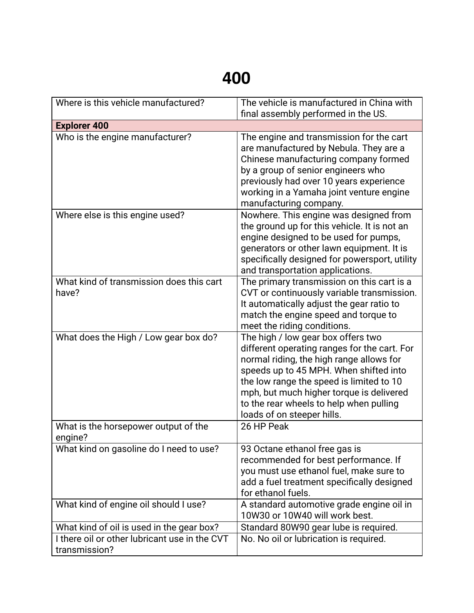## **400**

| Where is this vehicle manufactured?                            | The vehicle is manufactured in China with<br>final assembly performed in the US.                                                                                                                                                                                                                                                          |
|----------------------------------------------------------------|-------------------------------------------------------------------------------------------------------------------------------------------------------------------------------------------------------------------------------------------------------------------------------------------------------------------------------------------|
| <b>Explorer 400</b>                                            |                                                                                                                                                                                                                                                                                                                                           |
| Who is the engine manufacturer?                                | The engine and transmission for the cart<br>are manufactured by Nebula. They are a<br>Chinese manufacturing company formed<br>by a group of senior engineers who<br>previously had over 10 years experience<br>working in a Yamaha joint venture engine<br>manufacturing company.                                                         |
| Where else is this engine used?                                | Nowhere. This engine was designed from<br>the ground up for this vehicle. It is not an<br>engine designed to be used for pumps,<br>generators or other lawn equipment. It is<br>specifically designed for powersport, utility<br>and transportation applications.                                                                         |
| What kind of transmission does this cart<br>have?              | The primary transmission on this cart is a<br>CVT or continuously variable transmission.<br>It automatically adjust the gear ratio to<br>match the engine speed and torque to<br>meet the riding conditions.                                                                                                                              |
| What does the High / Low gear box do?                          | The high / low gear box offers two<br>different operating ranges for the cart. For<br>normal riding, the high range allows for<br>speeds up to 45 MPH. When shifted into<br>the low range the speed is limited to 10<br>mph, but much higher torque is delivered<br>to the rear wheels to help when pulling<br>loads of on steeper hills. |
| What is the horsepower output of the<br>engine?                | 26 HP Peak                                                                                                                                                                                                                                                                                                                                |
| What kind on gasoline do I need to use?                        | 93 Octane ethanol free gas is<br>recommended for best performance. If<br>you must use ethanol fuel, make sure to<br>add a fuel treatment specifically designed<br>for ethanol fuels.                                                                                                                                                      |
| What kind of engine oil should I use?                          | A standard automotive grade engine oil in<br>10W30 or 10W40 will work best.                                                                                                                                                                                                                                                               |
| What kind of oil is used in the gear box?                      | Standard 80W90 gear lube is required.                                                                                                                                                                                                                                                                                                     |
| I there oil or other lubricant use in the CVT<br>transmission? | No. No oil or lubrication is required.                                                                                                                                                                                                                                                                                                    |